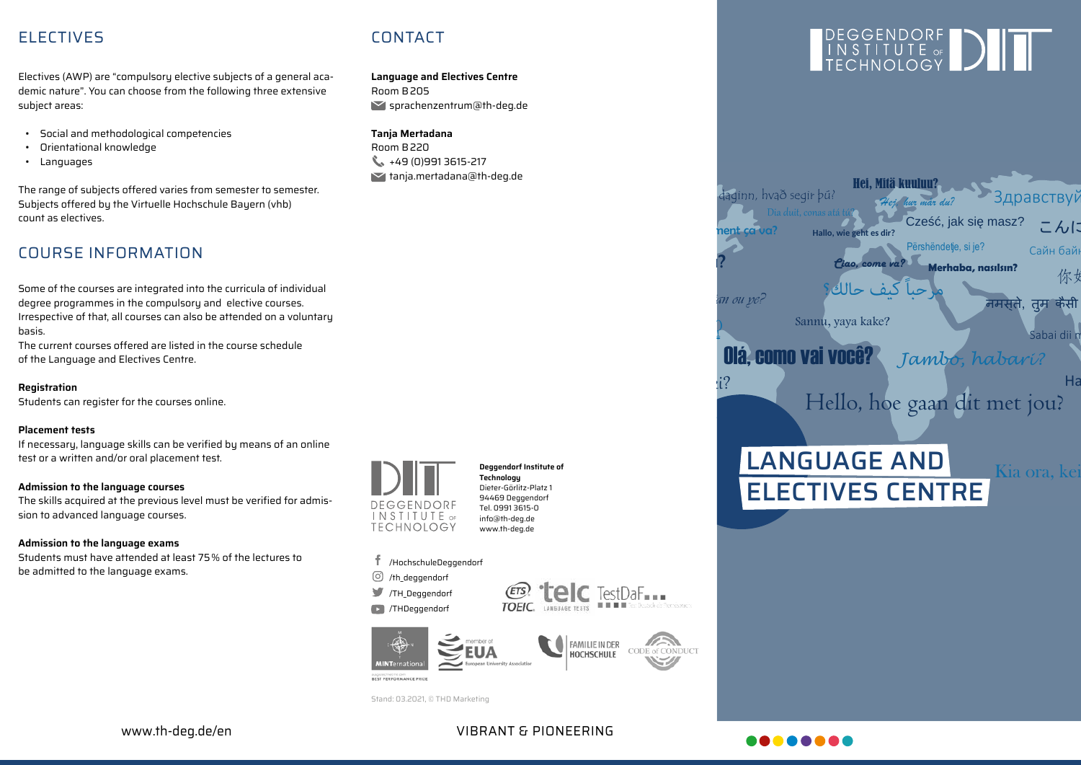## ELECTIVES CONTACT

Electives (AWP) are "compulsory elective subjects of a general academic nature". You can choose from the following three extensive subject areas:

- Social and methodological competencies
- Orientational knowledge
- Languages

The range of subjects offered varies from semester to semester. Subjects offered by the Virtuelle Hochschule Bayern (vhb) count as electives.

# COURSE INFORMATION

Some of the courses are integrated into the curricula of individual degree programmes in the compulsory and elective courses. Irrespective of that, all courses can also be attended on a voluntary basis.

The current courses offered are listed in the course schedule of the Language and Electives Centre.

**Registration**

Students can register for the courses online.

### **Placement tests**

If necessary, language skills can be verified by means of an online test or a written and/or oral placement test.

### **Admission to the language courses**

The skills acquired at the previous level must be verified for admission to advanced language courses.

### **Admission to the language exams**

Students must have attended at least 75% of the lectures to be admitted to the language exams.



**Deggendorf Institute of Technology** Dieter-Görlitz-Platz 1 94469 Deggendorf Tel. 0991 3615-0 info@th-deg.de www.th-deg.de

### /HochschuleDeggendorf

**Language and Electives Centre**

sprachenzentrum@th-deg.de

Room B205

**Tanja Mertadana** Room B220

 $\leftarrow +49(0)9913615-217$ tanja.mertadana@th-deg.de

 $\odot$  /th deggendorf /TH\_Deggendorf

**D** /THDeggendorf





Stand: 03.2021, © THD Marketing





VIBRANT & PIONEERING